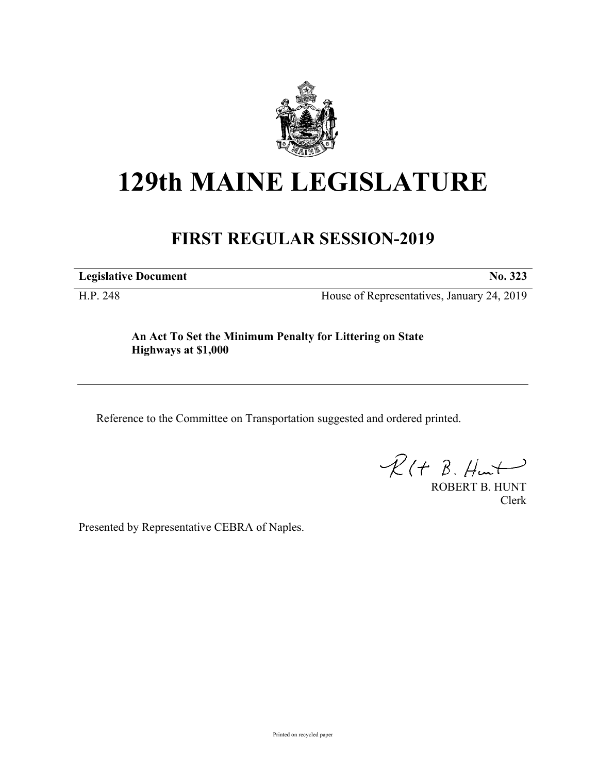

## **129th MAINE LEGISLATURE**

## **FIRST REGULAR SESSION-2019**

**Legislative Document No. 323**

H.P. 248 House of Representatives, January 24, 2019

**An Act To Set the Minimum Penalty for Littering on State Highways at \$1,000**

Reference to the Committee on Transportation suggested and ordered printed.

 $R(H B. Hmt)$ 

ROBERT B. HUNT Clerk

Presented by Representative CEBRA of Naples.